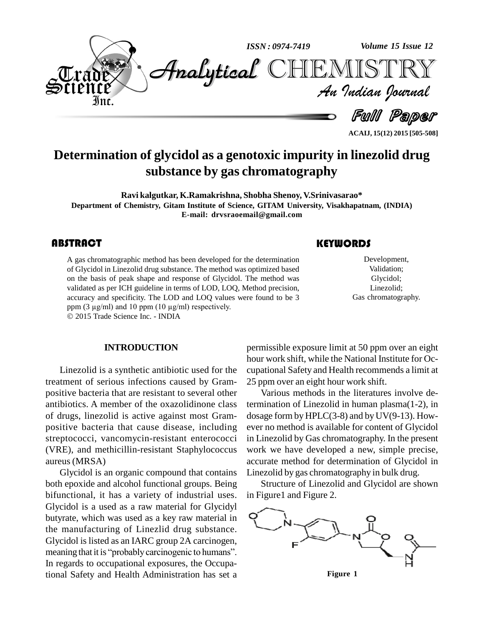

**ACAIJ, 15(12) 2015 [505-508]**

# **Determination of glycidol as a genotoxic impurity in linezolid drug substance by gas chromatography**

**Ravi kalgutkar, K.Ramakrishna, Shobha Shenoy, V.Srinivasarao\* Department of Chemistry, Gitam Institute of Science, GITAM University, Visakhapatnam, (INDIA) E-mail: [drvsraoemail@gmail.com](mailto:drvsraoemail@gmail.com)**

## **ABSTRACT**

A gas chromatographic is<br>of Glycidol in Linezolid<br>on the basis of peak sh A gas chromatographic method has been developed for the determination of Glycidol in Linezolid drug substance. The method was optimized based on the basis of peak shape and response of Glycidol. The method was validated as per ICH guideline in terms of LOD, LOQ, Method precision, accuracy and specificity. The LOD and LOQ values were found to be 3 validated as per ICH guideline in terms of LOD, LOQ, M<br>accuracy and specificity. The LOD and LOQ values we<br>ppm (3  $\mu$ g/ml) and 10 ppm (10  $\mu$ g/ml) respectively.

2015 Trade Science Inc. - INDIA

#### **INTRODUCTION**

Linezolid is a synthetic antibiotic used for the treatment of serious infections caused by Gram positive bacteria that are resistant to several other antibiotics. A member of the oxazolidinone class of drugs, linezolid is active against most Gram positive bacteria that cause disease, including streptococci, vancomycin-resistant enterococci (VRE), and methicillin-resistant Staphylococcus aureus (MRSA)

Glycidol is an organic compound that contains both epoxide and alcohol functional groups. Being bifunctional, it has a variety of industrial uses. Glycidol is a used as a raw material for Glycidyl butyrate, which was used as a key raw material in the manufacturing of Linezlid drug substance.<br>Glycidol is listed as an IARC group 2A carcinogen,<br>meaning that it is "probably carcinogenic to humans". Glycidol is listed as an IARC group 2A carcinogen, In regards to occupational exposures, the Occupational Safety and Health Administration has set a

#### **KEYWORDS**

Developmen<br>Validation;<br>Glycidol; Development, Validation; Glycidol; Linezolid; Gas chromatography.

permissible exposure limit at 50 ppm over an eight hour work shift, while the National Institute for Oc cupational Safety and Health recommends a limit at 25 ppm over an eight hour work shift.

Various methods in the literatures involve determination of Linezolid in human plasma(1-2), in dosage form by  $HPLC(3-8)$  and by  $UV(9-13)$ . However no method is available for content of Glycidol in Linezolid by Gas chromatography. In the present work we have developed a new, simple precise, accurate method for determination of Glycidol in Linezolid by gas chromatography in bulk drug.

Structure of Linezolid and Glycidol are shown in Figure1 and Figure 2.



**Figure 1**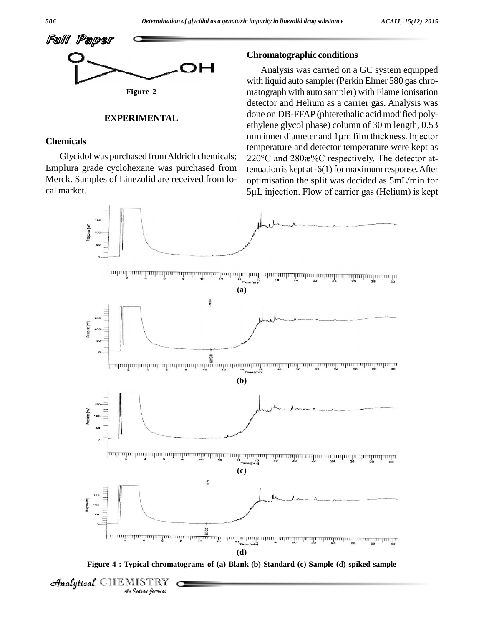

#### **EXPERIMENTAL**

#### **Chemicals**

Emplura grade cyclohexane was purchased from Merck. Samples of Linezolid are received from lo cal market.

#### **Chromatographic conditions**

Glycidol was purchased from Aldrich chemicals;  $220^{\circ}$ C and  $280x\%$ C respectively. The detector at-Analysis was carried on a GC system equipped with liquid auto sampler (Perkin Elmer 580 gas chro matograph with auto sampler) with Flame ionisation detector and Helium as a carrier gas. Analysis was done on DB-FFAP(phterethalic acid modified poly ethylene glycol phase) column of 30 m length, 0.53 done on DB-FFAP (phterethalic acid modified polyethylene glycol phase) column of 30 m length, 0.53 mm inner diameter and  $1\mu$ m film thickness. Injector temperature and detector temperature were kept as mm inner diameter and 1µm film thickness. Injector<br>temperature and detector temperature were kept as<br>220°C and 280æ%C respectively. The detector attenuation is kept at  $-6(1)$  for maximum response. After optimisation the split was decided as 5mL/min for tenuation is kept at -6(1) for maximum response. After<br>optimisation the split was decided as 5mL/min for<br>5µL injection. Flow of carrier gas (Helium) is kept



**Figure 4 : Typical chromatograms of (a) Blank (b) Standard (c) Sample (d) spiked sample**

**Analytical** CHEM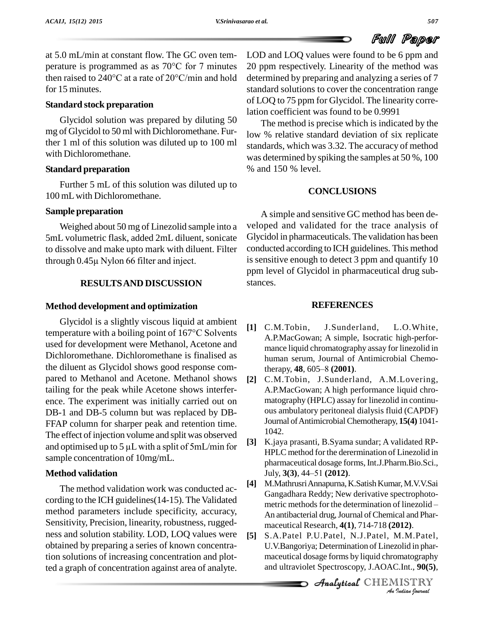

at 5.0 mL/min at constant flow. The GC oven tem at 5.0 mL/min at constant flow. The GC oven tem-<br>perature is programmed as as  $70^{\circ}$ C for 7 minutes 20 p at 5.0 mL/min at constant flow. The GC oven tem-<br>perature is programmed as as  $70^{\circ}$ C for 7 minutes 20 ppr<br>then raised to 240°C at a rate of 20°C/min and hold determ for 15 minutes.

## **Standard stock preparation**

Glycidol solution was prepared by diluting 50 mg of Glycidol to 50 ml with Dichloromethane. Further 1 ml of this solution was diluted up to 100 ml with Dichloromethane.

#### **Standard preparation**

Further 5 mL of this solution was diluted up to 100 mL with Dichloromethane.

#### **Sample preparation**

Weighed about 50 mg of Linezolid sample into a 5mL volumetric flask, added 2mL diluent, sonicate to dissolve and make upto mark with diluent. Filter 5mL volumetric flask, added 2mL diluent, so<br>to dissolve and make upto mark with diluent.<br>through 0.45µ Nylon 66 filter and inject.

#### **RESULTSAND DISCUSSION**

#### **Method development and optimization**

Glycidol is a slightly viscous liquid at ambient temperature with <sup>a</sup> boiling point of <sup>167</sup>°C Solvents used for development were Methanol, Acetone and Dichloromethane. Dichloromethane is finalised as the diluent as Glycidol shows good response com pared to Methanol and Acetone. Methanol shows [2] tailing for the peak while Acetone shows interfer ence. The experiment was initially carried out on DB-1 and DB-5 column but was replaced by DB- FFAP column for sharper peak and retention time.<br>The effect of injection volume and split was observed<br>and optimised up to 5  $\mu$ L with a split of 5mL/min for [3] The effect of injection volume and split was observed<br>and optimized up to  $5 \text{ uJ}$  with a split of  $5 \text{ mJ}$  (min for [3] sample concentration of 10mg/mL.

# **Method validation**

The method validation work was conducted ac cording to the ICH guidelines(14-15). The Validated metric methods for the determination of linezolidmethod parameters include specificity, accuracy, Sensitivity, Precision, linearity, robustness, rugged ness and solution stability. LOD, LOQ values were [5] obtained by preparing a series of known concentration solutions of increasing concentration and plotted a graph of concentration against area of analyte.

LOD and LOQ values were found to be 6 ppm and 20 ppm respectively. Linearity of the method was determined by preparing and analyzing a series of 7 standard solutions to cover the concentration range of LOQ to 75 ppm for Glycidol. The linearity correlation coefficient was found to be 0.9991

The method is precise which is indicated by the low % relative standard deviation of six replicate standards, which was 3.32. The accuracy of method was determined by spiking the samples at 50 %, 100 % and 150 % level.

# **CONCLUSIONS**

A simple and sensitive GC method has been de veloped and validated for the trace analysis of Glycidol in pharmaceuticals.The validation has been conducted according to ICH guidelines. This method is sensitive enough to detect 3 ppm and quantify 10 ppm level of Glycidol in pharmaceutical drug substances.

#### **REFERENCES**

- **[1]** C.M.Tobin, J.Sunderland, L.O.White, A.P.MacGowan; A simple, Isocratic high-perfor mance liquid chromatography assay for linezolid in<br>human serum, Journal of Antimicrobial Chemo-<br>therapy, **48**, 605–8 (**2001**). human serum, Journal of Antimicrobial Chemo-
- **[2]** C.M.Tobin, J.Sunderland, A.M.Lovering, A.P.MacGowan; A high performance liquid chro matography (HPLC) assay for linezolid in continu ous ambulatory peritoneal dialysis fluid (CAPDF) Journal ofAntimicrobial Chemotherapy, **15(4)** 1041- 1042.
- **[3]** K.jaya prasanti, B.Syama sundar; A validated RP- HPLC method for the derermination of Linezolid in pharmaceutical dosage forms, Int.J.Pharm.Bio.Sci., HPLC method for the derermin<br>pharmaceutical dosage forms,<br>July, 3(3), 44–51 (2012).
- *An*Analyticalmaceutical Research, **4(1)**, 714-718 **(2012)**. **[4]** M.MathrusriAnnapurna,K.SatishKumar,M.V.V.Sai Gangadhara Reddy; New derivative spectrophoto- M.Mathrusri Annapurna, K.Satish Kumar, M.V.V.Sai<br>Gangadhara Reddy; New derivative spectrophoto-<br>metric methods for the determination of linezolid – An antibacterial drug, Journal of Chemical and Phar-
- **012**).<br>*V*l. M. Patel,<br>*i*olid in phar-<br>pmatography<br>*I*ISTRY<br>*Indian Iournal* **[5]** S.A.Patel P.U.Patel, N.J.Patel, M.M.Patel, U.V.Bangoriya; Determination of Linezolid in phar maceutical dosage forms by liquid chromatography and ultraviolet Spectroscopy, J.AOAC.Int., **90(5)**,

**Analytical** CHEMISTRY